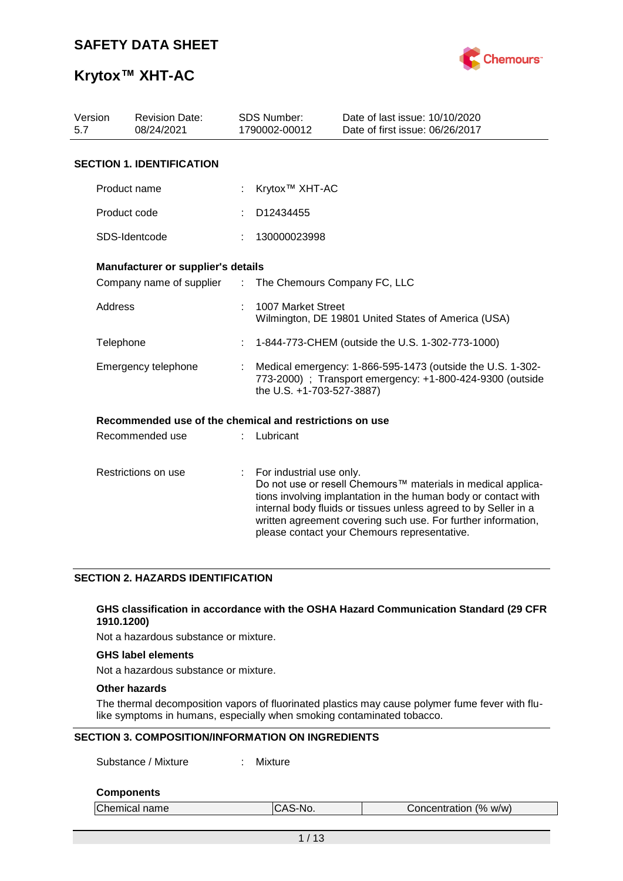

# **Krytox™ XHT-AC**

| Version<br><b>Revision Date:</b><br>5.7<br>08/24/2021 |                                                         |               | <b>SDS Number:</b><br>1790002-00012 | Date of last issue: 10/10/2020<br>Date of first issue: 06/26/2017                                                                                                                                                                                                                                                  |
|-------------------------------------------------------|---------------------------------------------------------|---------------|-------------------------------------|--------------------------------------------------------------------------------------------------------------------------------------------------------------------------------------------------------------------------------------------------------------------------------------------------------------------|
|                                                       | <b>SECTION 1. IDENTIFICATION</b>                        |               |                                     |                                                                                                                                                                                                                                                                                                                    |
|                                                       | Product name                                            |               | Krytox <sup>™</sup> XHT-AC          |                                                                                                                                                                                                                                                                                                                    |
|                                                       | Product code                                            |               | D12434455                           |                                                                                                                                                                                                                                                                                                                    |
|                                                       | SDS-Identcode                                           |               | 130000023998                        |                                                                                                                                                                                                                                                                                                                    |
|                                                       | Manufacturer or supplier's details                      |               |                                     |                                                                                                                                                                                                                                                                                                                    |
|                                                       | Company name of supplier                                | $\mathcal{L}$ | The Chemours Company FC, LLC        |                                                                                                                                                                                                                                                                                                                    |
| Address                                               |                                                         |               | 1007 Market Street                  | Wilmington, DE 19801 United States of America (USA)                                                                                                                                                                                                                                                                |
| Telephone                                             |                                                         |               |                                     | 1-844-773-CHEM (outside the U.S. 1-302-773-1000)                                                                                                                                                                                                                                                                   |
|                                                       | Emergency telephone                                     |               | the U.S. +1-703-527-3887)           | Medical emergency: 1-866-595-1473 (outside the U.S. 1-302-<br>773-2000) ; Transport emergency: +1-800-424-9300 (outside                                                                                                                                                                                            |
|                                                       | Recommended use of the chemical and restrictions on use |               |                                     |                                                                                                                                                                                                                                                                                                                    |
|                                                       | Recommended use                                         |               | Lubricant                           |                                                                                                                                                                                                                                                                                                                    |
|                                                       | Restrictions on use                                     | ÷             | For industrial use only.            | Do not use or resell Chemours™ materials in medical applica-<br>tions involving implantation in the human body or contact with<br>internal body fluids or tissues unless agreed to by Seller in a<br>written agreement covering such use. For further information,<br>please contact your Chemours representative. |

### **SECTION 2. HAZARDS IDENTIFICATION**

### **GHS classification in accordance with the OSHA Hazard Communication Standard (29 CFR 1910.1200)**

Not a hazardous substance or mixture.

### **GHS label elements**

Not a hazardous substance or mixture.

### **Other hazards**

The thermal decomposition vapors of fluorinated plastics may cause polymer fume fever with flulike symptoms in humans, especially when smoking contaminated tobacco.

### **SECTION 3. COMPOSITION/INFORMATION ON INGREDIENTS**

Substance / Mixture : Mixture

#### **Components**

| Chemical name | `S-No.<br>v | Concentration (% w/w) |  |
|---------------|-------------|-----------------------|--|
|               |             |                       |  |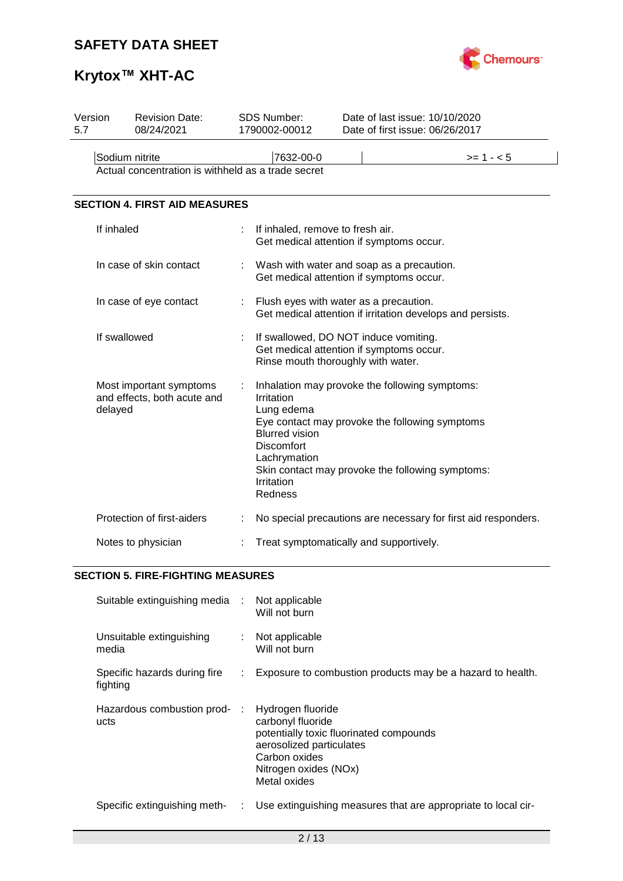

# **Krytox™ XHT-AC**

| Version<br>5.7                                                       | <b>Revision Date:</b><br>08/24/2021                               |   | SDS Number:<br>1790002-00012                                                                                    | Date of last issue: 10/10/2020<br>Date of first issue: 06/26/2017                                                                                    |  |  |  |  |
|----------------------------------------------------------------------|-------------------------------------------------------------------|---|-----------------------------------------------------------------------------------------------------------------|------------------------------------------------------------------------------------------------------------------------------------------------------|--|--|--|--|
| Sodium nitrite<br>Actual concentration is withheld as a trade secret |                                                                   |   | 7632-00-0                                                                                                       | $>= 1 - 5$                                                                                                                                           |  |  |  |  |
|                                                                      | <b>SECTION 4. FIRST AID MEASURES</b>                              |   |                                                                                                                 |                                                                                                                                                      |  |  |  |  |
|                                                                      | If inhaled                                                        |   | If inhaled, remove to fresh air.                                                                                | Get medical attention if symptoms occur.                                                                                                             |  |  |  |  |
|                                                                      | In case of skin contact                                           |   |                                                                                                                 | Wash with water and soap as a precaution.<br>Get medical attention if symptoms occur.                                                                |  |  |  |  |
|                                                                      | In case of eye contact                                            |   |                                                                                                                 | Flush eyes with water as a precaution.<br>Get medical attention if irritation develops and persists.                                                 |  |  |  |  |
|                                                                      | If swallowed                                                      |   |                                                                                                                 | If swallowed, DO NOT induce vomiting.<br>Get medical attention if symptoms occur.<br>Rinse mouth thoroughly with water.                              |  |  |  |  |
|                                                                      | Most important symptoms<br>and effects, both acute and<br>delayed | ÷ | Irritation<br>Lung edema<br><b>Blurred vision</b><br><b>Discomfort</b><br>Lachrymation<br>Irritation<br>Redness | Inhalation may provoke the following symptoms:<br>Eye contact may provoke the following symptoms<br>Skin contact may provoke the following symptoms: |  |  |  |  |
|                                                                      | Protection of first-aiders                                        |   |                                                                                                                 | No special precautions are necessary for first aid responders.                                                                                       |  |  |  |  |
|                                                                      | Notes to physician                                                |   |                                                                                                                 | Treat symptomatically and supportively.                                                                                                              |  |  |  |  |

### **SECTION 5. FIRE-FIGHTING MEASURES**

| Suitable extinguishing media :           |    | Not applicable<br>Will not burn                                                                                                                                         |
|------------------------------------------|----|-------------------------------------------------------------------------------------------------------------------------------------------------------------------------|
| Unsuitable extinguishing<br>media        |    | Not applicable<br>Will not burn                                                                                                                                         |
| Specific hazards during fire<br>fighting | ÷. | Exposure to combustion products may be a hazard to health.                                                                                                              |
| Hazardous combustion prod- :<br>ucts     |    | Hydrogen fluoride<br>carbonyl fluoride<br>potentially toxic fluorinated compounds<br>aerosolized particulates<br>Carbon oxides<br>Nitrogen oxides (NOx)<br>Metal oxides |
| Specific extinguishing meth-             | ÷. | Use extinguishing measures that are appropriate to local cir-                                                                                                           |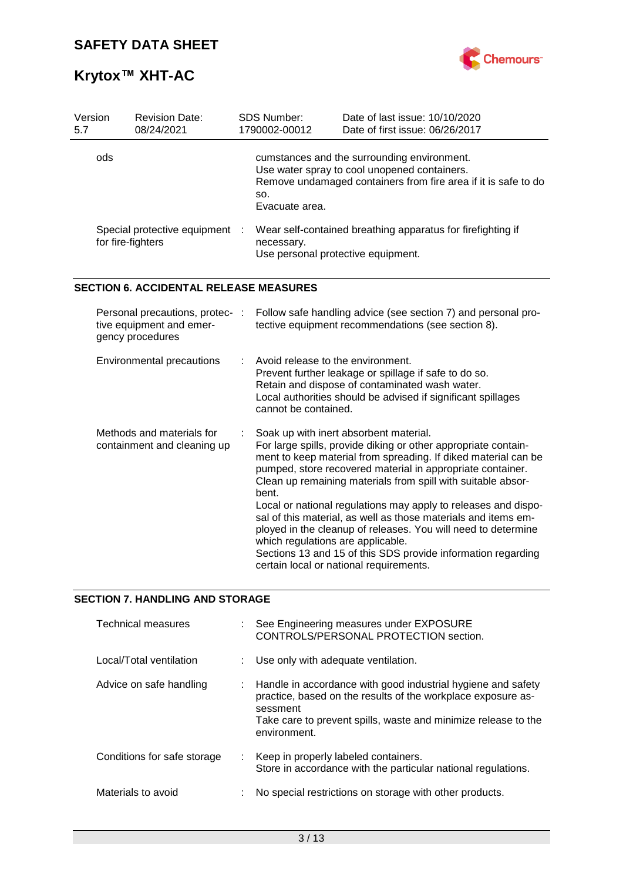

# **Krytox™ XHT-AC**

| Version<br>5.7 | <b>Revision Date:</b><br>08/24/2021                                             |    | SDS Number:<br>1790002-00012                              | Date of last issue: 10/10/2020<br>Date of first issue: 06/26/2017                                                                                                                                                                                                                                                                                                                                                                                                                                                                                                                                                        |
|----------------|---------------------------------------------------------------------------------|----|-----------------------------------------------------------|--------------------------------------------------------------------------------------------------------------------------------------------------------------------------------------------------------------------------------------------------------------------------------------------------------------------------------------------------------------------------------------------------------------------------------------------------------------------------------------------------------------------------------------------------------------------------------------------------------------------------|
|                | ods                                                                             |    | SO.<br>Evacuate area.                                     | cumstances and the surrounding environment.<br>Use water spray to cool unopened containers.<br>Remove undamaged containers from fire area if it is safe to do                                                                                                                                                                                                                                                                                                                                                                                                                                                            |
|                | Special protective equipment<br>for fire-fighters                               |    | necessary.<br>Use personal protective equipment.          | Wear self-contained breathing apparatus for firefighting if                                                                                                                                                                                                                                                                                                                                                                                                                                                                                                                                                              |
|                | <b>SECTION 6. ACCIDENTAL RELEASE MEASURES</b>                                   |    |                                                           |                                                                                                                                                                                                                                                                                                                                                                                                                                                                                                                                                                                                                          |
|                | Personal precautions, protec- :<br>tive equipment and emer-<br>gency procedures |    |                                                           | Follow safe handling advice (see section 7) and personal pro-<br>tective equipment recommendations (see section 8).                                                                                                                                                                                                                                                                                                                                                                                                                                                                                                      |
|                | Environmental precautions                                                       | ÷. | Avoid release to the environment.<br>cannot be contained. | Prevent further leakage or spillage if safe to do so.<br>Retain and dispose of contaminated wash water.<br>Local authorities should be advised if significant spillages                                                                                                                                                                                                                                                                                                                                                                                                                                                  |
|                | Methods and materials for<br>containment and cleaning up                        |    | bent.<br>which regulations are applicable.                | Soak up with inert absorbent material.<br>For large spills, provide diking or other appropriate contain-<br>ment to keep material from spreading. If diked material can be<br>pumped, store recovered material in appropriate container.<br>Clean up remaining materials from spill with suitable absor-<br>Local or national regulations may apply to releases and dispo-<br>sal of this material, as well as those materials and items em-<br>ployed in the cleanup of releases. You will need to determine<br>Sections 13 and 15 of this SDS provide information regarding<br>certain local or national requirements. |

# **SECTION 7. HANDLING AND STORAGE**

| Technical measures          |   | See Engineering measures under EXPOSURE<br>CONTROLS/PERSONAL PROTECTION section.                                                                                                                                             |
|-----------------------------|---|------------------------------------------------------------------------------------------------------------------------------------------------------------------------------------------------------------------------------|
| Local/Total ventilation     |   | Use only with adequate ventilation.                                                                                                                                                                                          |
| Advice on safe handling     |   | : Handle in accordance with good industrial hygiene and safety<br>practice, based on the results of the workplace exposure as-<br>sessment<br>Take care to prevent spills, waste and minimize release to the<br>environment. |
| Conditions for safe storage |   | : Keep in properly labeled containers.<br>Store in accordance with the particular national regulations.                                                                                                                      |
| Materials to avoid          | ÷ | No special restrictions on storage with other products.                                                                                                                                                                      |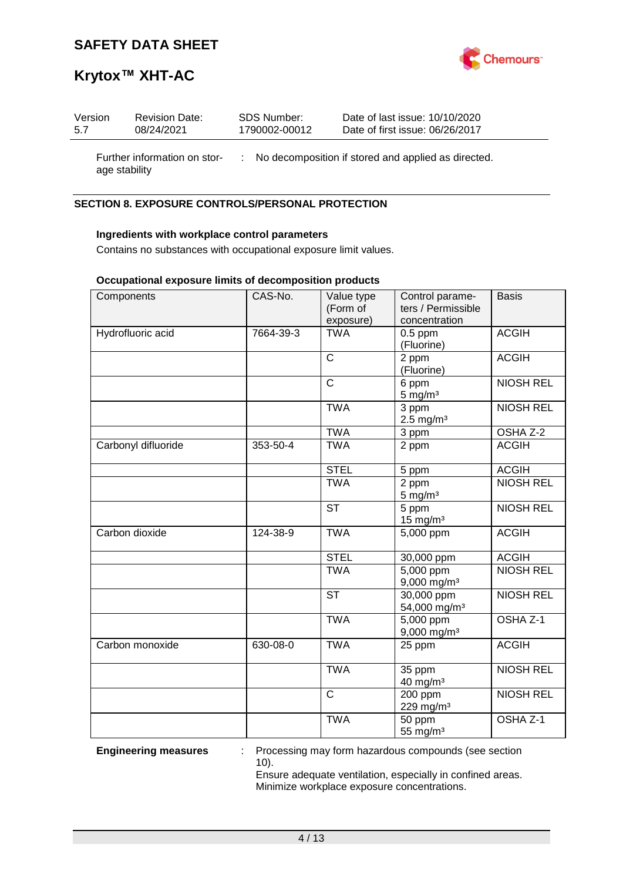

# **Krytox™ XHT-AC**

| Version       | <b>Revision Date:</b>        | SDS Number:   | Date of last issue: 10/10/2020                        |
|---------------|------------------------------|---------------|-------------------------------------------------------|
| 5.7           | 08/24/2021                   | 1790002-00012 | Date of first issue: 06/26/2017                       |
| age stability | Further information on stor- |               | : No decomposition if stored and applied as directed. |

### **SECTION 8. EXPOSURE CONTROLS/PERSONAL PROTECTION**

### **Ingredients with workplace control parameters**

Contains no substances with occupational exposure limit values.

### **Occupational exposure limits of decomposition products**

| Components          | CAS-No.   | Value type<br>(Form of | Control parame-<br>ters / Permissible               | <b>Basis</b>        |
|---------------------|-----------|------------------------|-----------------------------------------------------|---------------------|
|                     |           | exposure)              | concentration                                       |                     |
| Hydrofluoric acid   | 7664-39-3 | <b>TWA</b>             | $0.5$ ppm<br>(Fluorine)                             | <b>ACGIH</b>        |
|                     |           | $\mathsf{C}$           | 2 ppm<br>(Fluorine)                                 | <b>ACGIH</b>        |
|                     |           | $\mathsf{C}$           | 6 ppm<br>$5$ mg/m $3$                               | <b>NIOSH REL</b>    |
|                     |           | <b>TWA</b>             | $\overline{3}$ ppm<br>$2.5$ mg/m <sup>3</sup>       | <b>NIOSH REL</b>    |
|                     |           | <b>TWA</b>             | 3 ppm                                               | OSHA Z-2            |
| Carbonyl difluoride | 353-50-4  | <b>TWA</b>             | 2 ppm                                               | <b>ACGIH</b>        |
|                     |           | <b>STEL</b>            | 5 ppm                                               | <b>ACGIH</b>        |
|                     |           | <b>TWA</b>             | 2 ppm<br>$5 \text{ mg/m}^3$                         | <b>NIOSH REL</b>    |
|                     |           | <b>ST</b>              | 5 ppm<br>$15$ mg/m <sup>3</sup>                     | <b>NIOSH REL</b>    |
| Carbon dioxide      | 124-38-9  | <b>TWA</b>             | 5,000 ppm                                           | <b>ACGIH</b>        |
|                     |           | <b>STEL</b>            | 30,000 ppm                                          | <b>ACGIH</b>        |
|                     |           | <b>TWA</b>             | $\overline{5,000}$ ppm<br>$9,000$ mg/m <sup>3</sup> | <b>NIOSH REL</b>    |
|                     |           | <b>ST</b>              | 30,000 ppm<br>54,000 mg/m <sup>3</sup>              | <b>NIOSH REL</b>    |
|                     |           | <b>TWA</b>             | 5,000 ppm<br>9,000 mg/m <sup>3</sup>                | OSHA <sub>Z-1</sub> |
| Carbon monoxide     | 630-08-0  | <b>TWA</b>             | 25 ppm                                              | <b>ACGIH</b>        |
|                     |           | <b>TWA</b>             | 35 ppm<br>40 mg/m <sup>3</sup>                      | <b>NIOSH REL</b>    |
|                     |           | $\mathsf{C}$           | $200$ ppm<br>229 mg/m <sup>3</sup>                  | <b>NIOSH REL</b>    |
|                     |           | <b>TWA</b>             | 50 ppm<br>55 mg/m <sup>3</sup>                      | OSHA Z-1            |

**Engineering measures** : Processing may form hazardous compounds (see section 10).

> Ensure adequate ventilation, especially in confined areas. Minimize workplace exposure concentrations.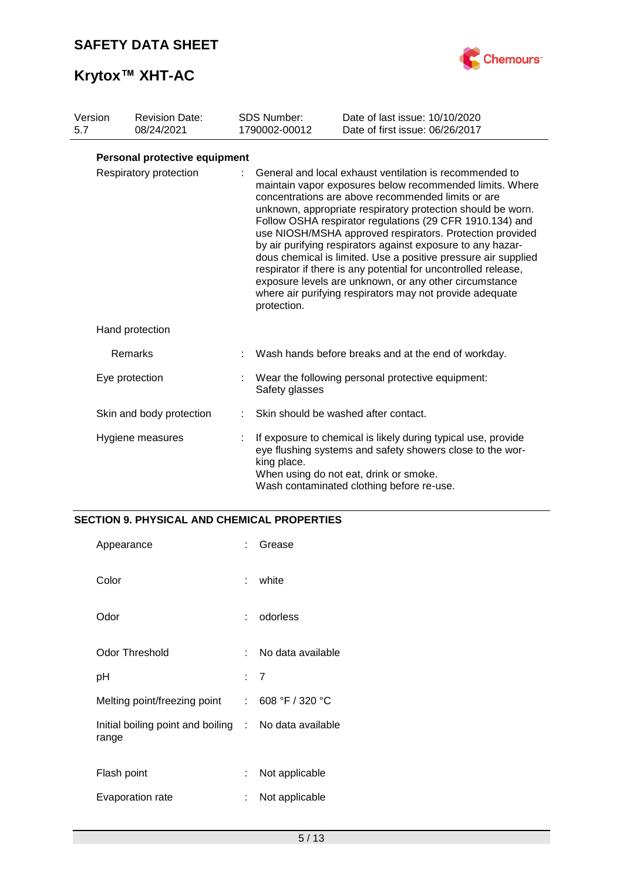

# **Krytox™ XHT-AC**

| Version<br>5.7 | <b>Revision Date:</b><br>08/24/2021 | <b>SDS Number:</b><br>1790002-00012 | Date of last issue: 10/10/2020<br>Date of first issue: 06/26/2017                                                                                                                                                                                                                                                                                                                                                                                                                                                                                                                                                                                                                         |
|----------------|-------------------------------------|-------------------------------------|-------------------------------------------------------------------------------------------------------------------------------------------------------------------------------------------------------------------------------------------------------------------------------------------------------------------------------------------------------------------------------------------------------------------------------------------------------------------------------------------------------------------------------------------------------------------------------------------------------------------------------------------------------------------------------------------|
|                | Personal protective equipment       |                                     |                                                                                                                                                                                                                                                                                                                                                                                                                                                                                                                                                                                                                                                                                           |
|                | Respiratory protection              | protection.                         | General and local exhaust ventilation is recommended to<br>maintain vapor exposures below recommended limits. Where<br>concentrations are above recommended limits or are<br>unknown, appropriate respiratory protection should be worn.<br>Follow OSHA respirator regulations (29 CFR 1910.134) and<br>use NIOSH/MSHA approved respirators. Protection provided<br>by air purifying respirators against exposure to any hazar-<br>dous chemical is limited. Use a positive pressure air supplied<br>respirator if there is any potential for uncontrolled release,<br>exposure levels are unknown, or any other circumstance<br>where air purifying respirators may not provide adequate |
|                | Hand protection                     |                                     |                                                                                                                                                                                                                                                                                                                                                                                                                                                                                                                                                                                                                                                                                           |
|                | Remarks                             |                                     | Wash hands before breaks and at the end of workday.                                                                                                                                                                                                                                                                                                                                                                                                                                                                                                                                                                                                                                       |
|                | Eye protection                      | Safety glasses                      | Wear the following personal protective equipment:                                                                                                                                                                                                                                                                                                                                                                                                                                                                                                                                                                                                                                         |
|                | Skin and body protection            |                                     | Skin should be washed after contact.                                                                                                                                                                                                                                                                                                                                                                                                                                                                                                                                                                                                                                                      |
|                | Hygiene measures                    | king place.                         | If exposure to chemical is likely during typical use, provide<br>eye flushing systems and safety showers close to the wor-<br>When using do not eat, drink or smoke.<br>Wash contaminated clothing before re-use.                                                                                                                                                                                                                                                                                                                                                                                                                                                                         |

### **SECTION 9. PHYSICAL AND CHEMICAL PROPERTIES**

| Appearance                                                     | × 1 | Grease            |
|----------------------------------------------------------------|-----|-------------------|
| Color                                                          | t.  | white             |
| Odor                                                           | t.  | odorless          |
| <b>Odor Threshold</b>                                          | × 1 | No data available |
| рH                                                             |     | : 7               |
| Melting point/freezing point                                   |     | : 608 °F / 320 °C |
| Initial boiling point and boiling : No data available<br>range |     |                   |
| Flash point                                                    | t.  | Not applicable    |
| Evaporation rate                                               | t.  | Not applicable    |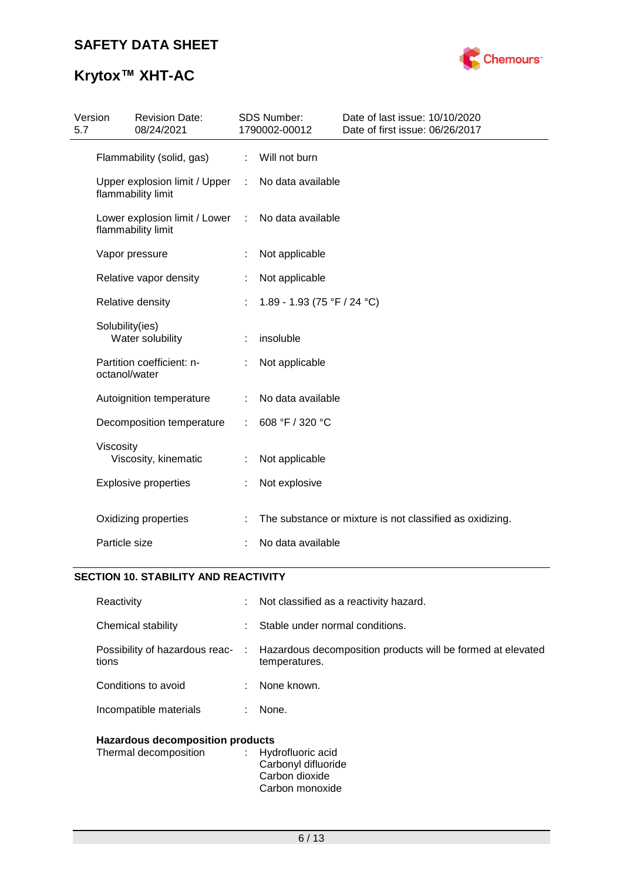

# **Krytox™ XHT-AC**

| 5.7 | Version<br><b>Revision Date:</b><br>08/24/2021      |                | SDS Number:<br>1790002-00012 | Date of last issue: 10/10/2020<br>Date of first issue: 06/26/2017 |
|-----|-----------------------------------------------------|----------------|------------------------------|-------------------------------------------------------------------|
|     | Flammability (solid, gas)                           | $\mathbb{R}^n$ | Will not burn                |                                                                   |
|     | Upper explosion limit / Upper<br>flammability limit | $\mathcal{L}$  | No data available            |                                                                   |
|     | Lower explosion limit / Lower<br>flammability limit | $\mathcal{L}$  | No data available            |                                                                   |
|     | Vapor pressure                                      |                | Not applicable               |                                                                   |
|     | Relative vapor density                              |                | Not applicable               |                                                                   |
|     | Relative density                                    |                | 1.89 - 1.93 (75 °F / 24 °C)  |                                                                   |
|     | Solubility(ies)<br>Water solubility                 |                | insoluble                    |                                                                   |
|     | Partition coefficient: n-<br>octanol/water          |                | Not applicable               |                                                                   |
|     | Autoignition temperature                            | ÷              | No data available            |                                                                   |
|     | Decomposition temperature                           | ÷              | 608 °F / 320 °C              |                                                                   |
|     | Viscosity<br>Viscosity, kinematic                   |                | Not applicable               |                                                                   |
|     | <b>Explosive properties</b>                         | ÷              | Not explosive                |                                                                   |
|     | Oxidizing properties                                |                |                              | The substance or mixture is not classified as oxidizing.          |
|     | Particle size                                       |                | No data available            |                                                                   |

# **SECTION 10. STABILITY AND REACTIVITY**

| Reactivity                              | t. | Not classified as a reactivity hazard.                                         |  |
|-----------------------------------------|----|--------------------------------------------------------------------------------|--|
| Chemical stability                      |    | Stable under normal conditions.                                                |  |
| Possibility of hazardous reac-<br>tions |    | : Hazardous decomposition products will be formed at elevated<br>temperatures. |  |
| Conditions to avoid                     |    | None known.                                                                    |  |
| Incompatible materials                  |    | None.                                                                          |  |
| <b>Hazardous decomposition products</b> |    |                                                                                |  |

| . |                     |
|---|---------------------|
|   | : Hydrofluoric acid |
|   | Carbonyl difluoride |
|   | Carbon dioxide      |
|   | Carbon monoxide     |
|   |                     |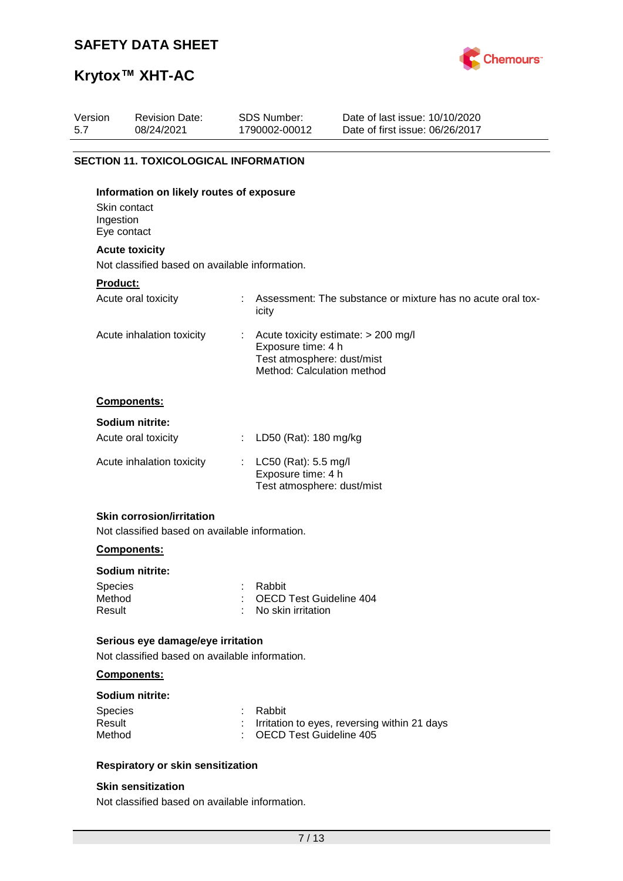

# **Krytox™ XHT-AC**

| Version<br>5.7 | <b>Revision Date:</b><br>08/24/2021                                     | SDS Number:<br>1790002-00012                                                   | Date of last issue: 10/10/2020<br>Date of first issue: 06/26/2017 |
|----------------|-------------------------------------------------------------------------|--------------------------------------------------------------------------------|-------------------------------------------------------------------|
|                |                                                                         |                                                                                |                                                                   |
|                | <b>SECTION 11. TOXICOLOGICAL INFORMATION</b>                            |                                                                                |                                                                   |
| Ingestion      | Information on likely routes of exposure<br>Skin contact<br>Eye contact |                                                                                |                                                                   |
|                | <b>Acute toxicity</b>                                                   |                                                                                |                                                                   |
|                | Not classified based on available information.                          |                                                                                |                                                                   |
| Product:       |                                                                         |                                                                                |                                                                   |
|                | Acute oral toxicity                                                     | icity                                                                          | Assessment: The substance or mixture has no acute oral tox-       |
|                | Acute inhalation toxicity                                               | Exposure time: 4 h<br>Test atmosphere: dust/mist<br>Method: Calculation method | Acute toxicity estimate: > 200 mg/l                               |
|                | Components:                                                             |                                                                                |                                                                   |
|                | Sodium nitrite:                                                         |                                                                                |                                                                   |
|                | Acute oral toxicity                                                     | LD50 (Rat): 180 mg/kg                                                          |                                                                   |
|                | Acute inhalation toxicity                                               | LC50 (Rat): 5.5 mg/l<br>Exposure time: 4 h<br>Test atmosphere: dust/mist       |                                                                   |
|                | <b>Skin corrosion/irritation</b>                                        |                                                                                |                                                                   |
|                | Not classified based on available information.                          |                                                                                |                                                                   |

### **Components:**

### **Sodium nitrite:**

| Species | : Rabbit                  |
|---------|---------------------------|
| Method  | : OECD Test Guideline 404 |
| Result  | : No skin irritation      |

### **Serious eye damage/eye irritation**

Not classified based on available information.

### **Components:**

### **Sodium nitrite:**

| <b>Species</b> | : Rabbit                                       |
|----------------|------------------------------------------------|
| Result         | : Irritation to eyes, reversing within 21 days |
| Method         | : OECD Test Guideline 405                      |

### **Respiratory or skin sensitization**

### **Skin sensitization**

Not classified based on available information.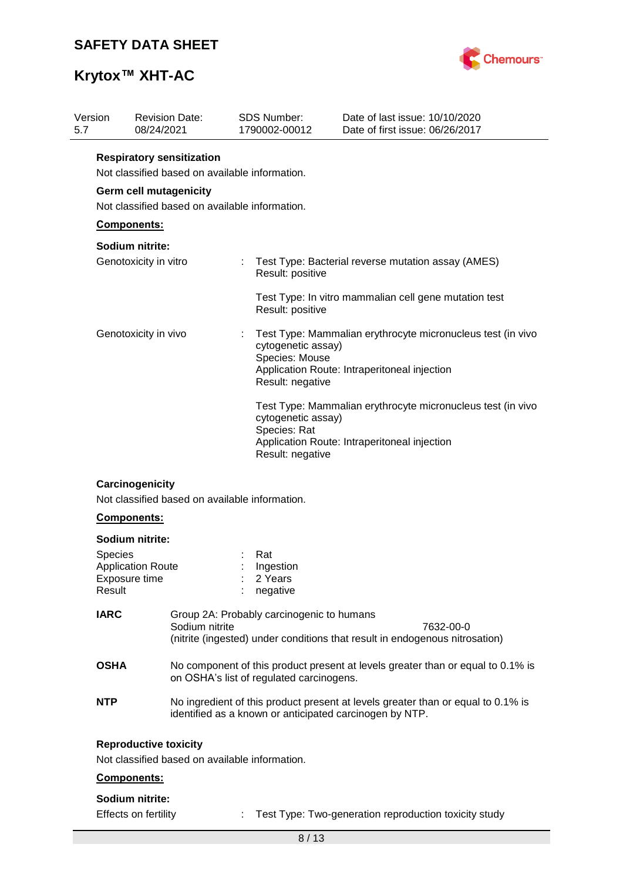

# **Krytox™ XHT-AC**

| Version<br>5.7 | <b>Revision Date:</b><br>08/24/2021                                              | <b>SDS Number:</b><br>1790002-00012                      | Date of last issue: 10/10/2020<br>Date of first issue: 06/26/2017                                           |  |  |  |  |  |
|----------------|----------------------------------------------------------------------------------|----------------------------------------------------------|-------------------------------------------------------------------------------------------------------------|--|--|--|--|--|
|                | <b>Respiratory sensitization</b>                                                 |                                                          |                                                                                                             |  |  |  |  |  |
|                | Not classified based on available information.<br><b>Germ cell mutagenicity</b>  |                                                          |                                                                                                             |  |  |  |  |  |
|                |                                                                                  |                                                          |                                                                                                             |  |  |  |  |  |
|                | Not classified based on available information.                                   |                                                          |                                                                                                             |  |  |  |  |  |
|                | Components:                                                                      |                                                          |                                                                                                             |  |  |  |  |  |
|                | Sodium nitrite:                                                                  |                                                          |                                                                                                             |  |  |  |  |  |
|                | Genotoxicity in vitro                                                            | Result: positive                                         | Test Type: Bacterial reverse mutation assay (AMES)                                                          |  |  |  |  |  |
|                |                                                                                  | Result: positive                                         | Test Type: In vitro mammalian cell gene mutation test                                                       |  |  |  |  |  |
|                | Genotoxicity in vivo                                                             | cytogenetic assay)<br>Species: Mouse<br>Result: negative | Test Type: Mammalian erythrocyte micronucleus test (in vivo<br>Application Route: Intraperitoneal injection |  |  |  |  |  |
|                |                                                                                  | cytogenetic assay)<br>Species: Rat<br>Result: negative   | Test Type: Mammalian erythrocyte micronucleus test (in vivo<br>Application Route: Intraperitoneal injection |  |  |  |  |  |
|                | Carcinogenicity<br>Not classified based on available information.<br>Components: |                                                          |                                                                                                             |  |  |  |  |  |
|                | Sodium nitrite:                                                                  |                                                          |                                                                                                             |  |  |  |  |  |
| <b>Species</b> |                                                                                  | Rat                                                      |                                                                                                             |  |  |  |  |  |
|                | <b>Application Route</b>                                                         | Ingestion                                                |                                                                                                             |  |  |  |  |  |
| Result         | Exposure time                                                                    | 2 Years                                                  |                                                                                                             |  |  |  |  |  |
|                |                                                                                  | negative                                                 |                                                                                                             |  |  |  |  |  |
| <b>IARC</b>    |                                                                                  | Group 2A: Probably carcinogenic to humans                |                                                                                                             |  |  |  |  |  |
|                | Sodium nitrite                                                                   |                                                          | 7632-00-0<br>(nitrite (ingested) under conditions that result in endogenous nitrosation)                    |  |  |  |  |  |
| <b>OSHA</b>    |                                                                                  | on OSHA's list of regulated carcinogens.                 | No component of this product present at levels greater than or equal to 0.1% is                             |  |  |  |  |  |
| <b>NTP</b>     |                                                                                  | identified as a known or anticipated carcinogen by NTP.  | No ingredient of this product present at levels greater than or equal to 0.1% is                            |  |  |  |  |  |
|                | <b>Reproductive toxicity</b><br>Not classified based on available information.   |                                                          |                                                                                                             |  |  |  |  |  |
|                | Components:                                                                      |                                                          |                                                                                                             |  |  |  |  |  |
|                | Sodium nitrite:                                                                  |                                                          |                                                                                                             |  |  |  |  |  |
|                | Effects on fertility                                                             |                                                          | Test Type: Two-generation reproduction toxicity study                                                       |  |  |  |  |  |
|                |                                                                                  | 8/13                                                     |                                                                                                             |  |  |  |  |  |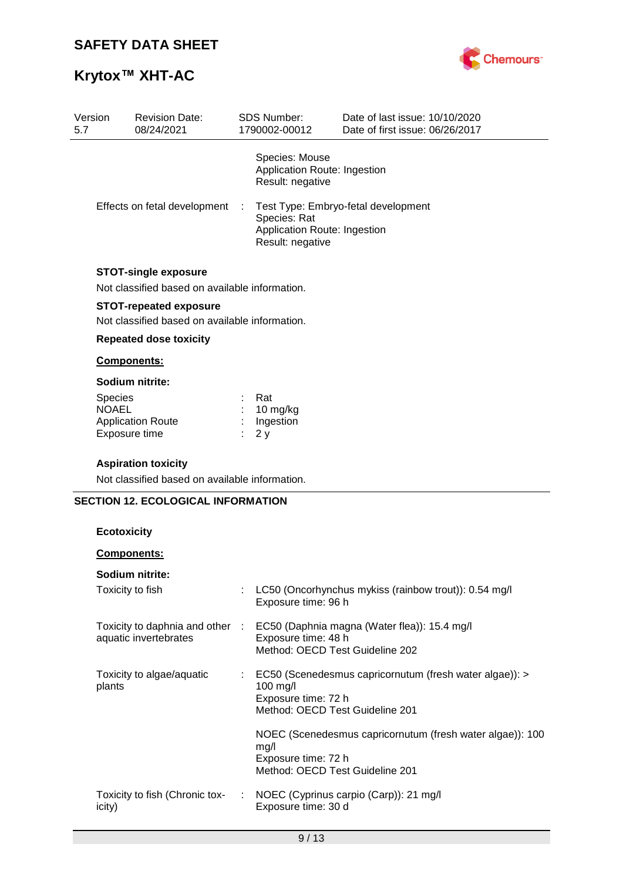# **Krytox™ XHT-AC**



| Version<br>5.7 | <b>Revision Date:</b><br>08/24/2021                                             | <b>SDS Number:</b><br>1790002-00012                                | Date of last issue: 10/10/2020<br>Date of first issue: 06/26/2017 |
|----------------|---------------------------------------------------------------------------------|--------------------------------------------------------------------|-------------------------------------------------------------------|
|                |                                                                                 | Species: Mouse<br>Application Route: Ingestion<br>Result: negative |                                                                   |
|                | Effects on fetal development                                                    | Species: Rat<br>Application Route: Ingestion<br>Result: negative   | Test Type: Embryo-fetal development                               |
|                | <b>STOT-single exposure</b><br>Not classified based on available information.   |                                                                    |                                                                   |
|                | <b>STOT-repeated exposure</b><br>Not classified based on available information. |                                                                    |                                                                   |
|                | <b>Repeated dose toxicity</b>                                                   |                                                                    |                                                                   |
|                | Components:                                                                     |                                                                    |                                                                   |
|                | Sodium nitrite:                                                                 |                                                                    |                                                                   |
|                | Species                                                                         | Rat                                                                |                                                                   |
|                | <b>NOAEL</b><br><b>Application Route</b>                                        | 10 mg/kg<br>Ingestion                                              |                                                                   |
|                | Exposure time                                                                   | 2y                                                                 |                                                                   |
|                | <b>Aspiration toxicity</b>                                                      |                                                                    |                                                                   |
|                | Not classified based on available information.                                  |                                                                    |                                                                   |
|                | <b>SECTION 12. ECOLOGICAL INFORMATION</b>                                       |                                                                    |                                                                   |
|                |                                                                                 |                                                                    |                                                                   |
|                | <b>Ecotoxicity</b>                                                              |                                                                    |                                                                   |
|                | Components:                                                                     |                                                                    |                                                                   |
|                | Sodium nitrite:                                                                 |                                                                    |                                                                   |
|                | Toxicity to fish                                                                | Exposure time: 96 h                                                | LC50 (Oncorhynchus mykiss (rainbow trout)): 0.54 mg/l             |
|                | Toxicity to daphnia and other :                                                 |                                                                    | EC50 (Daphnia magna (Water flea)): 15.4 mg/l                      |
|                | aquatic invertebrates                                                           | Exposure time: 48 h<br>Method: OECD Test Guideline 202             |                                                                   |
|                |                                                                                 |                                                                    |                                                                   |
|                | Toxicity to algae/aquatic                                                       |                                                                    | EC50 (Scenedesmus capricornutum (fresh water algae)): >           |
|                | plants                                                                          | 100 mg/l<br>Exposure time: 72 h                                    |                                                                   |
|                |                                                                                 | Method: OECD Test Guideline 201                                    |                                                                   |
|                |                                                                                 |                                                                    | NOEC (Scenedesmus capricornutum (fresh water algae)): 100         |
|                |                                                                                 | mg/l                                                               |                                                                   |
|                |                                                                                 | Exposure time: 72 h<br>Method: OECD Test Guideline 201             |                                                                   |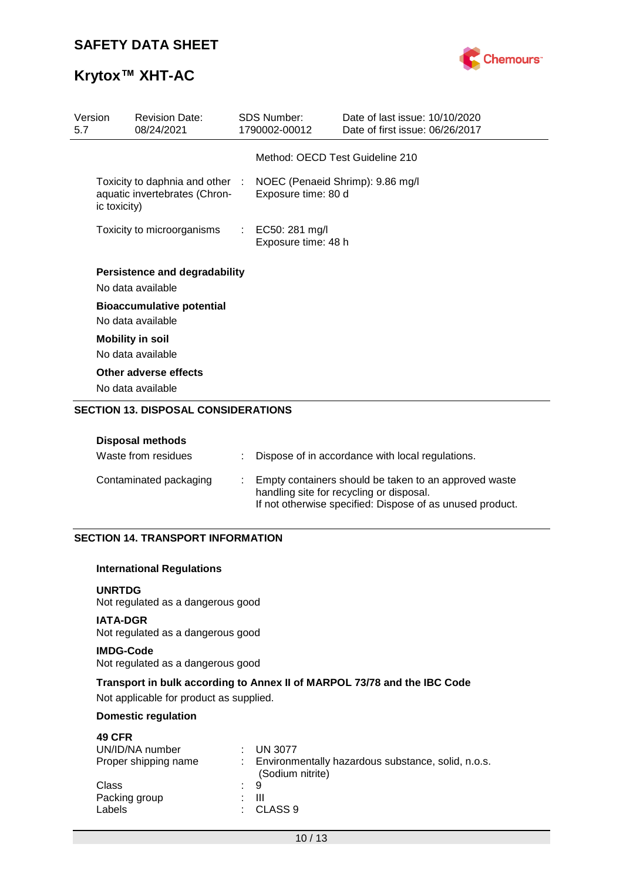

# **Krytox™ XHT-AC**

| Version<br>5.7 |              | <b>Revision Date:</b><br>08/24/2021                              | <b>SDS Number:</b><br>1790002-00012                     | Date of last issue: 10/10/2020<br>Date of first issue: 06/26/2017 |
|----------------|--------------|------------------------------------------------------------------|---------------------------------------------------------|-------------------------------------------------------------------|
|                |              |                                                                  | Method: OECD Test Guideline 210                         |                                                                   |
|                | ic toxicity) | Toxicity to daphnia and other :<br>aquatic invertebrates (Chron- | NOEC (Penaeid Shrimp): 9.86 mg/l<br>Exposure time: 80 d |                                                                   |
|                |              | Toxicity to microorganisms                                       | : EC50: 281 mg/l<br>Exposure time: 48 h                 |                                                                   |
|                |              | <b>Persistence and degradability</b><br>No data available        |                                                         |                                                                   |
|                |              | <b>Bioaccumulative potential</b><br>No data available            |                                                         |                                                                   |
|                |              | <b>Mobility in soil</b><br>No data available                     |                                                         |                                                                   |
|                |              | Other adverse effects<br>No data available                       |                                                         |                                                                   |

### **SECTION 13. DISPOSAL CONSIDERATIONS**

### **Disposal methods**

| Waste from residues    | Dispose of in accordance with local regulations.                                                                                                               |
|------------------------|----------------------------------------------------------------------------------------------------------------------------------------------------------------|
| Contaminated packaging | Empty containers should be taken to an approved waste<br>handling site for recycling or disposal.<br>If not otherwise specified: Dispose of as unused product. |

### **SECTION 14. TRANSPORT INFORMATION**

### **International Regulations**

### **UNRTDG**

Not regulated as a dangerous good

### **IATA-DGR** Not regulated as a dangerous good

### **IMDG-Code**

Not regulated as a dangerous good

### **Transport in bulk according to Annex II of MARPOL 73/78 and the IBC Code**

Not applicable for product as supplied.

### **Domestic regulation**

| <b>49 CFR</b>        |                                                                        |
|----------------------|------------------------------------------------------------------------|
| UN/ID/NA number      | <b>UN 3077</b><br>$\sim 100$                                           |
| Proper shipping name | Environmentally hazardous substance, solid, n.o.s.<br>(Sodium nitrite) |
| Class                | : 9                                                                    |
| Packing group        | Ш                                                                      |
| Labels               | CLASS <sub>9</sub><br><b>All Control</b>                               |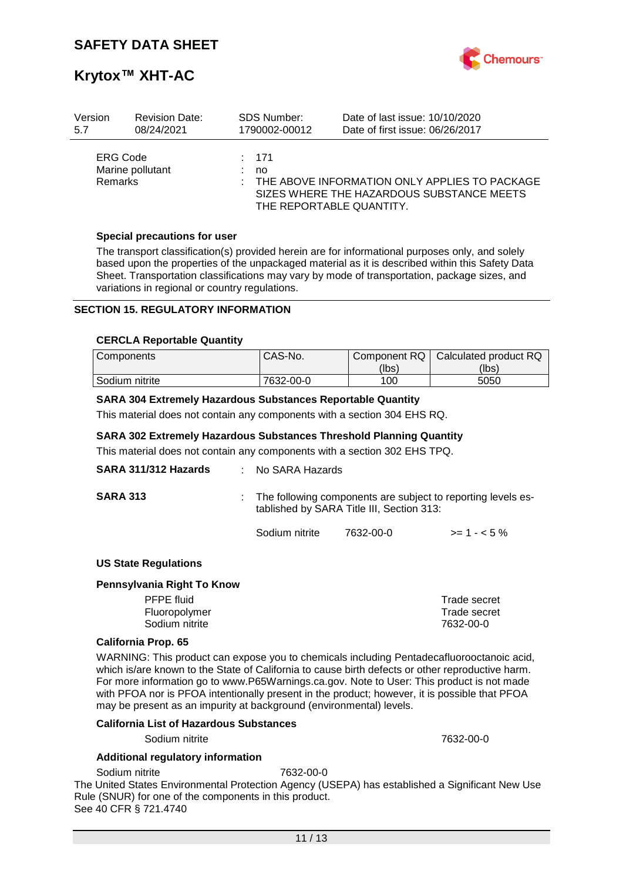

# **Krytox™ XHT-AC**

| Version                           | <b>Revision Date:</b> | <b>SDS Number:</b> | Date of last issue: 10/10/2020                                                                                         |
|-----------------------------------|-----------------------|--------------------|------------------------------------------------------------------------------------------------------------------------|
| 5.7                               | 08/24/2021            | 1790002-00012      | Date of first issue: 06/26/2017                                                                                        |
| <b>ERG Code</b><br><b>Remarks</b> | Marine pollutant      | : 171<br>no        | THE ABOVE INFORMATION ONLY APPLIES TO PACKAGE<br>SIZES WHERE THE HAZARDOUS SUBSTANCE MEETS<br>THE REPORTABLE QUANTITY. |

### **Special precautions for user**

The transport classification(s) provided herein are for informational purposes only, and solely based upon the properties of the unpackaged material as it is described within this Safety Data Sheet. Transportation classifications may vary by mode of transportation, package sizes, and variations in regional or country regulations.

### **SECTION 15. REGULATORY INFORMATION**

#### **CERCLA Reportable Quantity**

| <b>Components</b> | CAS-No.   | Component RQ | Calculated product RQ |
|-------------------|-----------|--------------|-----------------------|
|                   |           | (lbs)        | (lbs)                 |
| Sodium nitrite    | 7632-00-0 | 100          | 5050                  |

### **SARA 304 Extremely Hazardous Substances Reportable Quantity**

This material does not contain any components with a section 304 EHS RQ.

### **SARA 302 Extremely Hazardous Substances Threshold Planning Quantity**

This material does not contain any components with a section 302 EHS TPQ.

| SARA 311/312 Hazards        | $:$ No SARA Hazards |                                                                                                           |              |  |  |
|-----------------------------|---------------------|-----------------------------------------------------------------------------------------------------------|--------------|--|--|
| <b>SARA 313</b>             |                     | The following components are subject to reporting levels es-<br>tablished by SARA Title III, Section 313: |              |  |  |
|                             | Sodium nitrite      | 7632-00-0                                                                                                 | $>= 1 - 5\%$ |  |  |
| <b>US State Regulations</b> |                     |                                                                                                           |              |  |  |
| Pennsylvania Right To Know  |                     |                                                                                                           |              |  |  |
| <b>PFPE</b> fluid           |                     |                                                                                                           | Trade secret |  |  |
| Fluoropolymer               |                     |                                                                                                           | Trade secret |  |  |

## **California Prop. 65**

WARNING: This product can expose you to chemicals including Pentadecafluorooctanoic acid, which is/are known to the State of California to cause birth defects or other reproductive harm. For more information go to www.P65Warnings.ca.gov. Note to User: This product is not made with PFOA nor is PFOA intentionally present in the product; however, it is possible that PFOA may be present as an impurity at background (environmental) levels.

Sodium nitrite 7632-00-0

#### **California List of Hazardous Substances**

Sodium nitrite 7632-00-0

#### **Additional regulatory information**

Sodium nitrite 7632-00-0

The United States Environmental Protection Agency (USEPA) has established a Significant New Use Rule (SNUR) for one of the components in this product. See 40 CFR § 721.4740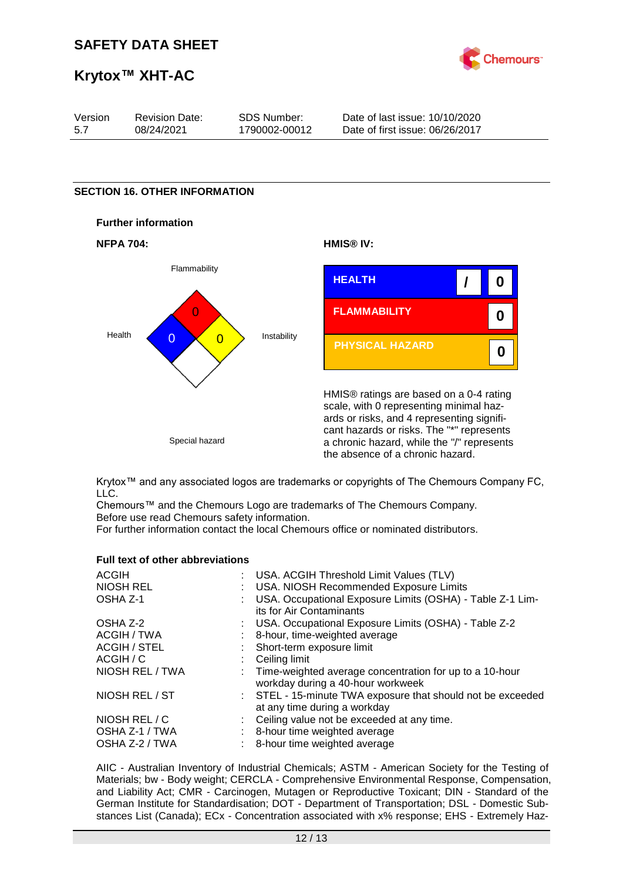

# **Krytox™ XHT-AC**

| Version | <b>Revision Date:</b> | SDS Number:   | Date of last issue: 10/10/2020  |
|---------|-----------------------|---------------|---------------------------------|
| 5.7     | 08/24/2021            | 1790002-00012 | Date of first issue: 06/26/2017 |

### **SECTION 16. OTHER INFORMATION**









HMIS® ratings are based on a 0-4 rating scale, with 0 representing minimal hazards or risks, and 4 representing significant hazards or risks. The "\*" represents a chronic hazard, while the "/" represents the absence of a chronic hazard.

Krytox™ and any associated logos are trademarks or copyrights of The Chemours Company FC, LLC.

Chemours™ and the Chemours Logo are trademarks of The Chemours Company. Before use read Chemours safety information.

For further information contact the local Chemours office or nominated distributors.

#### **Full text of other abbreviations**

| <b>ACGIH</b>        | : USA. ACGIH Threshold Limit Values (TLV)                                                      |
|---------------------|------------------------------------------------------------------------------------------------|
| <b>NIOSH REL</b>    | : USA. NIOSH Recommended Exposure Limits                                                       |
| OSHA Z-1            | USA. Occupational Exposure Limits (OSHA) - Table Z-1 Lim-<br>its for Air Contaminants          |
| OSHA Z-2            | : USA. Occupational Exposure Limits (OSHA) - Table Z-2                                         |
| ACGIH / TWA         | : 8-hour, time-weighted average                                                                |
| <b>ACGIH / STEL</b> | : Short-term exposure limit                                                                    |
| ACGIH / C           | $\therefore$ Ceiling limit                                                                     |
| NIOSH REL / TWA     | : Time-weighted average concentration for up to a 10-hour<br>workday during a 40-hour workweek |
| NIOSH REL / ST      | : STEL - 15-minute TWA exposure that should not be exceeded<br>at any time during a workday    |
| NIOSH REL / C       | : Ceiling value not be exceeded at any time.                                                   |
| OSHA Z-1 / TWA      | : 8-hour time weighted average                                                                 |
| OSHA Z-2 / TWA      | 8-hour time weighted average                                                                   |
|                     |                                                                                                |

AIIC - Australian Inventory of Industrial Chemicals; ASTM - American Society for the Testing of Materials; bw - Body weight; CERCLA - Comprehensive Environmental Response, Compensation, and Liability Act; CMR - Carcinogen, Mutagen or Reproductive Toxicant; DIN - Standard of the German Institute for Standardisation; DOT - Department of Transportation; DSL - Domestic Substances List (Canada); ECx - Concentration associated with x% response; EHS - Extremely Haz-